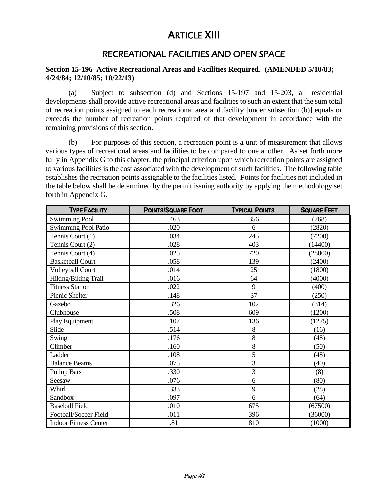# ARTICLE XIII

# RECREATIONAL FACILITIES AND OPEN SPACE

## **Section 15-196 Active Recreational Areas and Facilities Required. (AMENDED 5/10/83; 4/24/84; 12/10/85; 10/22/13)**

(a) Subject to subsection (d) and Sections 15-197 and 15-203, all residential developments shall provide active recreational areas and facilities to such an extent that the sum total of recreation points assigned to each recreational area and facility [under subsection (b)] equals or exceeds the number of recreation points required of that development in accordance with the remaining provisions of this section.

(b) For purposes of this section, a recreation point is a unit of measurement that allows various types of recreational areas and facilities to be compared to one another. As set forth more fully in Appendix G to this chapter, the principal criterion upon which recreation points are assigned to various facilities is the cost associated with the development of such facilities. The following table establishes the recreation points assignable to the facilities listed. Points for facilities not included in the table below shall be determined by the permit issuing authority by applying the methodology set forth in Appendix G.

| <b>TYPE FACILITY</b>         | <b>POINTS/SQUARE FOOT</b> | <b>TYPICAL POINTS</b> | <b>SQUARE FEET</b> |
|------------------------------|---------------------------|-----------------------|--------------------|
| <b>Swimming Pool</b>         | .463                      | 356                   | (768)              |
| <b>Swimming Pool Patio</b>   | .020                      | 6                     | (2820)             |
| Tennis Court (1)             | .034                      | 245                   | (7200)             |
| Tennis Court (2)             | .028                      | 403                   | (14400)            |
| Tennis Court (4)             | .025                      | 720                   | (28800)            |
| <b>Basketball Court</b>      | .058                      | 139                   | (2400)             |
| <b>Volleyball Court</b>      | .014                      | 25                    | (1800)             |
| Hiking/Biking Trail          | .016                      | 64                    | (4000)             |
| <b>Fitness Station</b>       | .022                      | 9                     | (400)              |
| Picnic Shelter               | .148                      | 37                    | (250)              |
| Gazebo                       | .326                      | 102                   | (314)              |
| Clubhouse                    | .508                      | 609                   | (1200)             |
| Play Equipment               | .107                      | 136                   | (1275)             |
| Slide                        | .514                      | 8                     | (16)               |
| Swing                        | .176                      | 8                     | (48)               |
| Climber                      | .160                      | 8                     | (50)               |
| Ladder                       | .108                      | 5                     | (48)               |
| <b>Balance Beams</b>         | .075                      | 3                     | (40)               |
| <b>Pullup Bars</b>           | .330                      | 3                     | (8)                |
| Seesaw                       | .076                      | 6                     | (80)               |
| Whirl                        | .333                      | 9                     | (28)               |
| Sandbox                      | .097                      | 6                     | (64)               |
| <b>Baseball Field</b>        | .010                      | 675                   | (67500)            |
| Football/Soccer Field        | .011                      | 396                   | (36000)            |
| <b>Indoor Fitness Center</b> | .81                       | 810                   | (1000)             |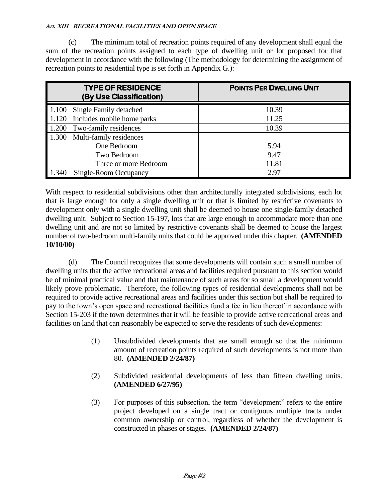(c) The minimum total of recreation points required of any development shall equal the sum of the recreation points assigned to each type of dwelling unit or lot proposed for that development in accordance with the following (The methodology for determining the assignment of recreation points to residential type is set forth in Appendix G.):

| <b>TYPE OF RESIDENCE</b><br>(By Use Classification) | <b>POINTS PER DWELLING UNIT</b> |
|-----------------------------------------------------|---------------------------------|
| Single Family detached<br>1.100                     | 10.39                           |
| Includes mobile home parks<br>1.120                 | 11.25                           |
| Two-family residences<br>1.200                      | 10.39                           |
| Multi-family residences<br>1.300                    |                                 |
| One Bedroom                                         | 5.94                            |
| Two Bedroom                                         | 9.47                            |
| Three or more Bedroom                               | 11.81                           |
| 1.340<br>Single-Room Occupancy                      | 2.97                            |

With respect to residential subdivisions other than architecturally integrated subdivisions, each lot that is large enough for only a single dwelling unit or that is limited by restrictive covenants to development only with a single dwelling unit shall be deemed to house one single-family detached dwelling unit. Subject to Section 15-197, lots that are large enough to accommodate more than one dwelling unit and are not so limited by restrictive covenants shall be deemed to house the largest number of two-bedroom multi-family units that could be approved under this chapter. **(AMENDED 10/10/00)**

(d) The Council recognizes that some developments will contain such a small number of dwelling units that the active recreational areas and facilities required pursuant to this section would be of minimal practical value and that maintenance of such areas for so small a development would likely prove problematic. Therefore, the following types of residential developments shall not be required to provide active recreational areas and facilities under this section but shall be required to pay to the town's open space and recreational facilities fund a fee in lieu thereof in accordance with Section 15-203 if the town determines that it will be feasible to provide active recreational areas and facilities on land that can reasonably be expected to serve the residents of such developments:

- (1) Unsubdivided developments that are small enough so that the minimum amount of recreation points required of such developments is not more than 80. **(AMENDED 2/24/87)**
- (2) Subdivided residential developments of less than fifteen dwelling units. **(AMENDED 6/27/95)**
- (3) For purposes of this subsection, the term "development" refers to the entire project developed on a single tract or contiguous multiple tracts under common ownership or control, regardless of whether the development is constructed in phases or stages. **(AMENDED 2/24/87)**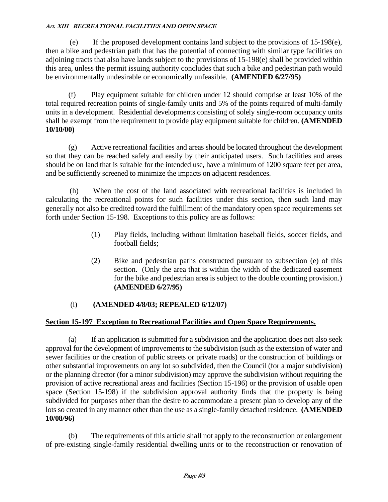(e) If the proposed development contains land subject to the provisions of 15-198(e), then a bike and pedestrian path that has the potential of connecting with similar type facilities on adjoining tracts that also have lands subject to the provisions of 15-198(e) shall be provided within this area, unless the permit issuing authority concludes that such a bike and pedestrian path would be environmentally undesirable or economically unfeasible. **(AMENDED 6/27/95)**

(f) Play equipment suitable for children under 12 should comprise at least 10% of the total required recreation points of single-family units and 5% of the points required of multi-family units in a development. Residential developments consisting of solely single-room occupancy units shall be exempt from the requirement to provide play equipment suitable for children. **(AMENDED 10/10/00)**

(g) Active recreational facilities and areas should be located throughout the development so that they can be reached safely and easily by their anticipated users. Such facilities and areas should be on land that is suitable for the intended use, have a minimum of 1200 square feet per area, and be sufficiently screened to minimize the impacts on adjacent residences.

(h) When the cost of the land associated with recreational facilities is included in calculating the recreational points for such facilities under this section, then such land may generally not also be credited toward the fulfillment of the mandatory open space requirements set forth under Section 15-198. Exceptions to this policy are as follows:

- (1) Play fields, including without limitation baseball fields, soccer fields, and football fields;
- (2) Bike and pedestrian paths constructed pursuant to subsection (e) of this section. (Only the area that is within the width of the dedicated easement for the bike and pedestrian area is subject to the double counting provision.) **(AMENDED 6/27/95)**

# (i) **(AMENDED 4/8/03; REPEALED 6/12/07)**

## **Section 15-197 Exception to Recreational Facilities and Open Space Requirements.**

(a) If an application is submitted for a subdivision and the application does not also seek approval for the development of improvements to the subdivision (such as the extension of water and sewer facilities or the creation of public streets or private roads) or the construction of buildings or other substantial improvements on any lot so subdivided, then the Council (for a major subdivision) or the planning director (for a minor subdivision) may approve the subdivision without requiring the provision of active recreational areas and facilities (Section 15-196) or the provision of usable open space (Section 15-198) if the subdivision approval authority finds that the property is being subdivided for purposes other than the desire to accommodate a present plan to develop any of the lots so created in any manner other than the use as a single-family detached residence. **(AMENDED 10/08/96)**

(b) The requirements of this article shall not apply to the reconstruction or enlargement of pre-existing single-family residential dwelling units or to the reconstruction or renovation of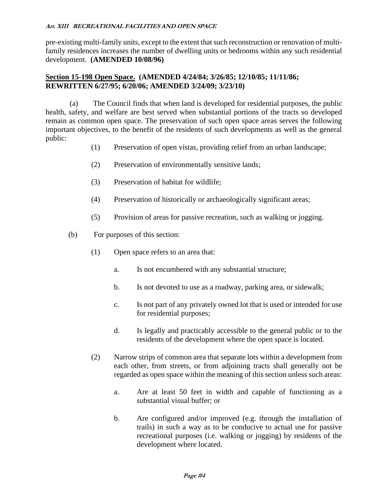pre-existing multi-family units, except to the extent that such reconstruction or renovation of multifamily residences increases the number of dwelling units or bedrooms within any such residential development. **(AMENDED 10/08/96)**

#### **Section 15-198 Open Space. (AMENDED 4/24/84; 3/26/85; 12/10/85; 11/11/86; REWRITTEN 6/27/95; 6/20/06; AMENDED 3/24/09; 3/23/10)**

(a) The Council finds that when land is developed for residential purposes, the public health, safety, and welfare are best served when substantial portions of the tracts so developed remain as common open space. The preservation of such open space areas serves the following important objectives, to the benefit of the residents of such developments as well as the general public:

- (1) Preservation of open vistas, providing relief from an urban landscape;
- (2) Preservation of environmentally sensitive lands;
- (3) Preservation of habitat for wildlife;
- (4) Preservation of historically or archaeologically significant areas;
- (5) Provision of areas for passive recreation, such as walking or jogging.
- (b) For purposes of this section:
	- (1) Open space refers to an area that:
		- a. Is not encumbered with any substantial structure;
		- b. Is not devoted to use as a roadway, parking area, or sidewalk;
		- c. Is not part of any privately owned lot that is used or intended for use for residential purposes;
		- d. Is legally and practicably accessible to the general public or to the residents of the development where the open space is located.
	- (2) Narrow strips of common area that separate lots within a development from each other, from streets, or from adjoining tracts shall generally not be regarded as open space within the meaning of this section unless such areas:
		- a. Are at least 50 feet in width and capable of functioning as a substantial visual buffer; or
		- b. Are configured and/or improved (e.g. through the installation of trails) in such a way as to be conducive to actual use for passive recreational purposes (i.e. walking or jogging) by residents of the development where located.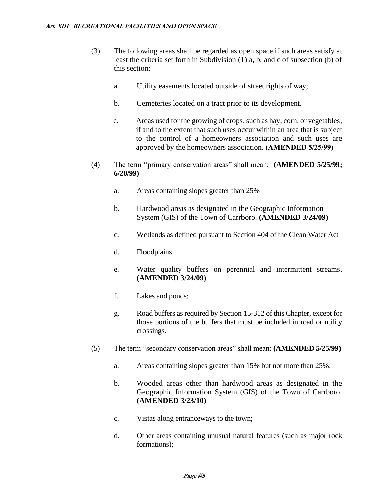- (3) The following areas shall be regarded as open space if such areas satisfy at least the criteria set forth in Subdivision (1) a, b, and c of subsection (b) of this section:
	- a. Utility easements located outside of street rights of way;
	- b. Cemeteries located on a tract prior to its development.
	- c. Areas used for the growing of crops, such as hay, corn, or vegetables, if and to the extent that such uses occur within an area that is subject to the control of a homeowners association and such uses are approved by the homeowners association. **(AMENDED 5/25/99)**
- (4) The term "primary conservation areas" shall mean: **(AMENDED 5/25/99; 6/20/99)**
	- a. Areas containing slopes greater than 25%
	- b. Hardwood areas as designated in the Geographic Information System (GIS) of the Town of Carrboro. **(AMENDED 3/24/09)**
	- c. Wetlands as defined pursuant to Section 404 of the Clean Water Act
	- d. Floodplains
	- e. Water quality buffers on perennial and intermittent streams. **(AMENDED 3/24/09)**
	- f. Lakes and ponds;
	- g. Road buffers as required by Section 15-312 of this Chapter, except for those portions of the buffers that must be included in road or utility crossings.
- (5) The term "secondary conservation areas" shall mean: **(AMENDED 5/25/99)**
	- a. Areas containing slopes greater than 15% but not more than 25%;
	- b. Wooded areas other than hardwood areas as designated in the Geographic Information System (GIS) of the Town of Carrboro. **(AMENDED 3/23/10)**
	- c. Vistas along entranceways to the town;
	- d. Other areas containing unusual natural features (such as major rock formations);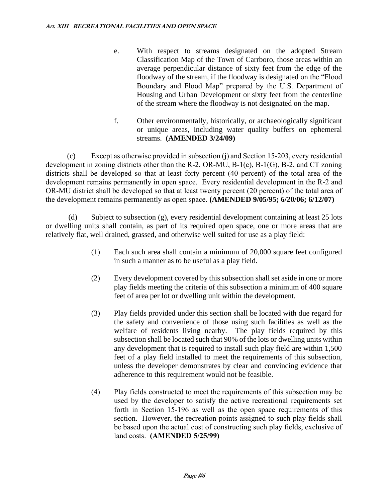- e. With respect to streams designated on the adopted Stream Classification Map of the Town of Carrboro, those areas within an average perpendicular distance of sixty feet from the edge of the floodway of the stream, if the floodway is designated on the "Flood Boundary and Flood Map" prepared by the U.S. Department of Housing and Urban Development or sixty feet from the centerline of the stream where the floodway is not designated on the map.
- f. Other environmentally, historically, or archaeologically significant or unique areas, including water quality buffers on ephemeral streams. **(AMENDED 3/24/09)**

(c) Except as otherwise provided in subsection (j) and Section 15-203, every residential development in zoning districts other than the R-2, OR-MU, B-1(c), B-1(G), B-2, and CT zoning districts shall be developed so that at least forty percent (40 percent) of the total area of the development remains permanently in open space. Every residential development in the R-2 and OR-MU district shall be developed so that at least twenty percent (20 percent) of the total area of the development remains permanently as open space. **(AMENDED 9/05/95; 6/20/06; 6/12/07)**

(d) Subject to subsection (g), every residential development containing at least 25 lots or dwelling units shall contain, as part of its required open space, one or more areas that are relatively flat, well drained, grassed, and otherwise well suited for use as a play field:

- (1) Each such area shall contain a minimum of 20,000 square feet configured in such a manner as to be useful as a play field.
- (2) Every development covered by this subsection shall set aside in one or more play fields meeting the criteria of this subsection a minimum of 400 square feet of area per lot or dwelling unit within the development.
- (3) Play fields provided under this section shall be located with due regard for the safety and convenience of those using such facilities as well as the welfare of residents living nearby. The play fields required by this subsection shall be located such that 90% of the lots or dwelling units within any development that is required to install such play field are within 1,500 feet of a play field installed to meet the requirements of this subsection, unless the developer demonstrates by clear and convincing evidence that adherence to this requirement would not be feasible.
- (4) Play fields constructed to meet the requirements of this subsection may be used by the developer to satisfy the active recreational requirements set forth in Section 15-196 as well as the open space requirements of this section. However, the recreation points assigned to such play fields shall be based upon the actual cost of constructing such play fields, exclusive of land costs. **(AMENDED 5/25/99)**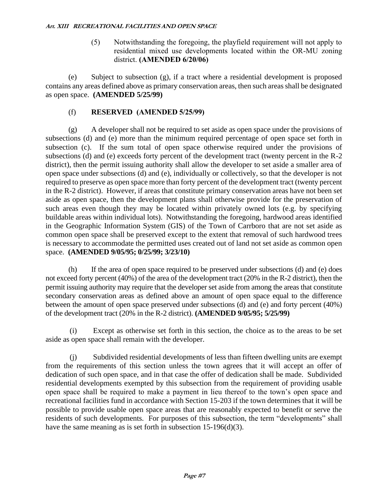(5) Notwithstanding the foregoing, the playfield requirement will not apply to residential mixed use developments located within the OR-MU zoning district. **(AMENDED 6/20/06)**

(e) Subject to subsection (g), if a tract where a residential development is proposed contains any areas defined above as primary conservation areas, then such areas shall be designated as open space. **(AMENDED 5/25/99)**

## (f) **RESERVED (AMENDED 5/25/99)**

(g) A developer shall not be required to set aside as open space under the provisions of subsections (d) and (e) more than the minimum required percentage of open space set forth in subsection (c). If the sum total of open space otherwise required under the provisions of subsections (d) and (e) exceeds forty percent of the development tract (twenty percent in the R-2 district), then the permit issuing authority shall allow the developer to set aside a smaller area of open space under subsections (d) and (e), individually or collectively, so that the developer is not required to preserve as open space more than forty percent of the development tract (twenty percent in the R-2 district). However, if areas that constitute primary conservation areas have not been set aside as open space, then the development plans shall otherwise provide for the preservation of such areas even though they may be located within privately owned lots (e.g. by specifying buildable areas within individual lots). Notwithstanding the foregoing, hardwood areas identified in the Geographic Information System (GIS) of the Town of Carrboro that are not set aside as common open space shall be preserved except to the extent that removal of such hardwood trees is necessary to accommodate the permitted uses created out of land not set aside as common open space. **(AMENDED 9/05/95; 0/25/99; 3/23/10)**

(h) If the area of open space required to be preserved under subsections (d) and (e) does not exceed forty percent (40%) of the area of the development tract (20% in the R-2 district), then the permit issuing authority may require that the developer set aside from among the areas that constitute secondary conservation areas as defined above an amount of open space equal to the difference between the amount of open space preserved under subsections (d) and (e) and forty percent (40%) of the development tract (20% in the R-2 district). **(AMENDED 9/05/95; 5/25/99)**

(i) Except as otherwise set forth in this section, the choice as to the areas to be set aside as open space shall remain with the developer.

(j) Subdivided residential developments of less than fifteen dwelling units are exempt from the requirements of this section unless the town agrees that it will accept an offer of dedication of such open space, and in that case the offer of dedication shall be made. Subdivided residential developments exempted by this subsection from the requirement of providing usable open space shall be required to make a payment in lieu thereof to the town's open space and recreational facilities fund in accordance with Section 15-203 if the town determines that it will be possible to provide usable open space areas that are reasonably expected to benefit or serve the residents of such developments. For purposes of this subsection, the term "developments" shall have the same meaning as is set forth in subsection 15-196(d)(3).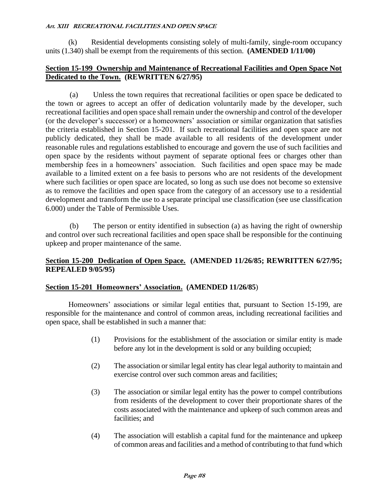(k) Residential developments consisting solely of multi-family, single-room occupancy units (1.340) shall be exempt from the requirements of this section. **(AMENDED 1/11/00)**

## **Section 15-199 Ownership and Maintenance of Recreational Facilities and Open Space Not Dedicated to the Town. (REWRITTEN 6/27/95)**

(a) Unless the town requires that recreational facilities or open space be dedicated to the town or agrees to accept an offer of dedication voluntarily made by the developer, such recreational facilities and open space shall remain under the ownership and control of the developer (or the developer's successor) or a homeowners' association or similar organization that satisfies the criteria established in Section 15-201. If such recreational facilities and open space are not publicly dedicated, they shall be made available to all residents of the development under reasonable rules and regulations established to encourage and govern the use of such facilities and open space by the residents without payment of separate optional fees or charges other than membership fees in a homeowners' association. Such facilities and open space may be made available to a limited extent on a fee basis to persons who are not residents of the development where such facilities or open space are located, so long as such use does not become so extensive as to remove the facilities and open space from the category of an accessory use to a residential development and transform the use to a separate principal use classification (see use classification 6.000) under the Table of Permissible Uses.

(b) The person or entity identified in subsection (a) as having the right of ownership and control over such recreational facilities and open space shall be responsible for the continuing upkeep and proper maintenance of the same.

## **Section 15-200 Dedication of Open Space. (AMENDED 11/26/85; REWRITTEN 6/27/95; REPEALED 9/05/95)**

## **Section 15-201 Homeowners' Association. (AMENDED 11/26/85**)

Homeowners' associations or similar legal entities that, pursuant to Section 15-199, are responsible for the maintenance and control of common areas, including recreational facilities and open space, shall be established in such a manner that:

- (1) Provisions for the establishment of the association or similar entity is made before any lot in the development is sold or any building occupied;
- (2) The association or similar legal entity has clear legal authority to maintain and exercise control over such common areas and facilities;
- (3) The association or similar legal entity has the power to compel contributions from residents of the development to cover their proportionate shares of the costs associated with the maintenance and upkeep of such common areas and facilities; and
- (4) The association will establish a capital fund for the maintenance and upkeep of common areas and facilities and a method of contributing to that fund which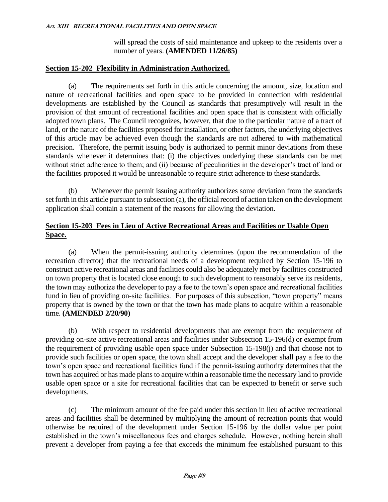will spread the costs of said maintenance and upkeep to the residents over a number of years. **(AMENDED 11/26/85)**

## **Section 15-202 Flexibility in Administration Authorized.**

(a) The requirements set forth in this article concerning the amount, size, location and nature of recreational facilities and open space to be provided in connection with residential developments are established by the Council as standards that presumptively will result in the provision of that amount of recreational facilities and open space that is consistent with officially adopted town plans. The Council recognizes, however, that due to the particular nature of a tract of land, or the nature of the facilities proposed for installation, or other factors, the underlying objectives of this article may be achieved even though the standards are not adhered to with mathematical precision. Therefore, the permit issuing body is authorized to permit minor deviations from these standards whenever it determines that: (i) the objectives underlying these standards can be met without strict adherence to them; and (ii) because of peculiarities in the developer's tract of land or the facilities proposed it would be unreasonable to require strict adherence to these standards.

(b) Whenever the permit issuing authority authorizes some deviation from the standards set forth in this article pursuant to subsection (a), the official record of action taken on the development application shall contain a statement of the reasons for allowing the deviation.

## **Section 15-203 Fees in Lieu of Active Recreational Areas and Facilities or Usable Open Space.**

(a) When the permit-issuing authority determines (upon the recommendation of the recreation director) that the recreational needs of a development required by Section 15-196 to construct active recreational areas and facilities could also be adequately met by facilities constructed on town property that is located close enough to such development to reasonably serve its residents, the town may authorize the developer to pay a fee to the town's open space and recreational facilities fund in lieu of providing on-site facilities. For purposes of this subsection, "town property" means property that is owned by the town or that the town has made plans to acquire within a reasonable time. **(AMENDED 2/20/90)**

(b) With respect to residential developments that are exempt from the requirement of providing on-site active recreational areas and facilities under Subsection 15-196(d) or exempt from the requirement of providing usable open space under Subsection 15-198(j) and that choose not to provide such facilities or open space, the town shall accept and the developer shall pay a fee to the town's open space and recreational facilities fund if the permit-issuing authority determines that the town has acquired or has made plans to acquire within a reasonable time the necessary land to provide usable open space or a site for recreational facilities that can be expected to benefit or serve such developments.

(c) The minimum amount of the fee paid under this section in lieu of active recreational areas and facilities shall be determined by multiplying the amount of recreation points that would otherwise be required of the development under Section 15-196 by the dollar value per point established in the town's miscellaneous fees and charges schedule. However, nothing herein shall prevent a developer from paying a fee that exceeds the minimum fee established pursuant to this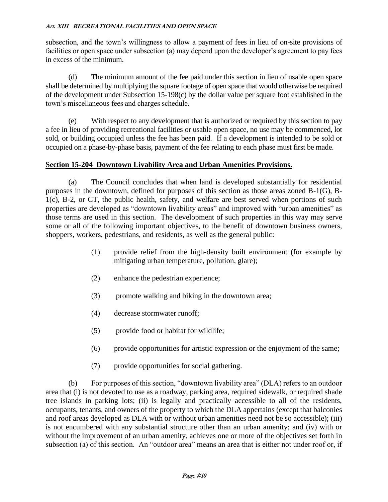subsection, and the town's willingness to allow a payment of fees in lieu of on-site provisions of facilities or open space under subsection (a) may depend upon the developer's agreement to pay fees in excess of the minimum.

(d) The minimum amount of the fee paid under this section in lieu of usable open space shall be determined by multiplying the square footage of open space that would otherwise be required of the development under Subsection 15-198(c) by the dollar value per square foot established in the town's miscellaneous fees and charges schedule.

(e) With respect to any development that is authorized or required by this section to pay a fee in lieu of providing recreational facilities or usable open space, no use may be commenced, lot sold, or building occupied unless the fee has been paid. If a development is intended to be sold or occupied on a phase-by-phase basis, payment of the fee relating to each phase must first be made.

## **Section 15-204 Downtown Livability Area and Urban Amenities Provisions.**

(a) The Council concludes that when land is developed substantially for residential purposes in the downtown, defined for purposes of this section as those areas zoned B-1(G), B-1(c), B-2, or CT, the public health, safety, and welfare are best served when portions of such properties are developed as "downtown livability areas" and improved with "urban amenities" as those terms are used in this section. The development of such properties in this way may serve some or all of the following important objectives, to the benefit of downtown business owners, shoppers, workers, pedestrians, and residents, as well as the general public:

- (1) provide relief from the high-density built environment (for example by mitigating urban temperature, pollution, glare);
- (2) enhance the pedestrian experience;
- (3) promote walking and biking in the downtown area;
- (4) decrease stormwater runoff;
- (5) provide food or habitat for wildlife;
- (6) provide opportunities for artistic expression or the enjoyment of the same;
- (7) provide opportunities for social gathering.

(b) For purposes of this section, "downtown livability area" (DLA) refers to an outdoor area that (i) is not devoted to use as a roadway, parking area, required sidewalk, or required shade tree islands in parking lots; (ii) is legally and practically accessible to all of the residents, occupants, tenants, and owners of the property to which the DLA appertains (except that balconies and roof areas developed as DLA with or without urban amenities need not be so accessible); (iii) is not encumbered with any substantial structure other than an urban amenity; and (iv) with or without the improvement of an urban amenity, achieves one or more of the objectives set forth in subsection (a) of this section. An "outdoor area" means an area that is either not under roof or, if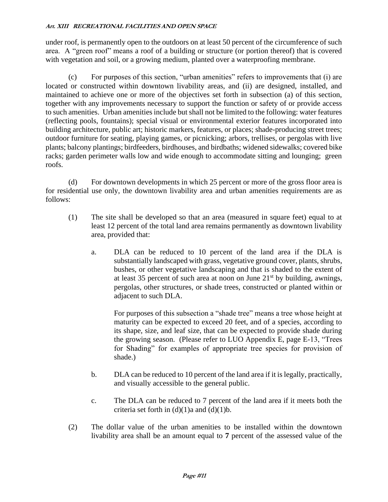under roof, is permanently open to the outdoors on at least 50 percent of the circumference of such area. A "green roof" means a roof of a building or structure (or portion thereof) that is covered with vegetation and soil, or a growing medium, planted over a waterproofing membrane.

(c) For purposes of this section, "urban amenities" refers to improvements that (i) are located or constructed within downtown livability areas, and (ii) are designed, installed, and maintained to achieve one or more of the objectives set forth in subsection (a) of this section, together with any improvements necessary to support the function or safety of or provide access to such amenities. Urban amenities include but shall not be limited to the following: water features (reflecting pools, fountains); special visual or environmental exterior features incorporated into building architecture, public art; historic markers, features, or places; shade-producing street trees; outdoor furniture for seating, playing games, or picnicking; arbors, trellises, or pergolas with live plants; balcony plantings; birdfeeders, birdhouses, and birdbaths; widened sidewalks; covered bike racks; garden perimeter walls low and wide enough to accommodate sitting and lounging; green roofs.

(d) For downtown developments in which 25 percent or more of the gross floor area is for residential use only, the downtown livability area and urban amenities requirements are as follows:

- (1) The site shall be developed so that an area (measured in square feet) equal to at least 12 percent of the total land area remains permanently as downtown livability area, provided that:
	- a. DLA can be reduced to 10 percent of the land area if the DLA is substantially landscaped with grass, vegetative ground cover, plants, shrubs, bushes, or other vegetative landscaping and that is shaded to the extent of at least 35 percent of such area at noon on June  $21<sup>st</sup>$  by building, awnings, pergolas, other structures, or shade trees, constructed or planted within or adjacent to such DLA.

For purposes of this subsection a "shade tree" means a tree whose height at maturity can be expected to exceed 20 feet, and of a species, according to its shape, size, and leaf size, that can be expected to provide shade during the growing season. (Please refer to LUO Appendix E, page E-13, "Trees for Shading" for examples of appropriate tree species for provision of shade.)

- b. DLA can be reduced to 10 percent of the land area if it is legally, practically, and visually accessible to the general public.
- c. The DLA can be reduced to 7 percent of the land area if it meets both the criteria set forth in  $(d)(1)a$  and  $(d)(1)b$ .
- (2) The dollar value of the urban amenities to be installed within the downtown livability area shall be an amount equal to **7** percent of the assessed value of the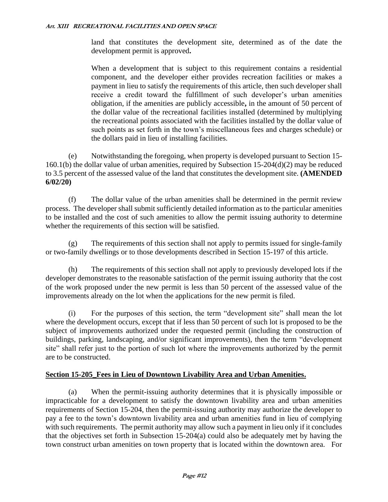land that constitutes the development site, determined as of the date the development permit is approved**.**

When a development that is subject to this requirement contains a residential component, and the developer either provides recreation facilities or makes a payment in lieu to satisfy the requirements of this article, then such developer shall receive a credit toward the fulfillment of such developer's urban amenities obligation, if the amenities are publicly accessible**,** in the amount of 50 percent of the dollar value of the recreational facilities installed (determined by multiplying the recreational points associated with the facilities installed by the dollar value of such points as set forth in the town's miscellaneous fees and charges schedule) or the dollars paid in lieu of installing facilities.

(e) Notwithstanding the foregoing, when property is developed pursuant to Section 15- 160.1(b) the dollar value of urban amenities, required by Subsection 15-204(d)(2) may be reduced to 3.5 percent of the assessed value of the land that constitutes the development site. **(AMENDED 6/02/20)**

(f) The dollar value of the urban amenities shall be determined in the permit review process. The developer shall submit sufficiently detailed information as to the particular amenities to be installed and the cost of such amenities to allow the permit issuing authority to determine whether the requirements of this section will be satisfied.

(g) The requirements of this section shall not apply to permits issued for single-family or two-family dwellings or to those developments described in Section 15-197 of this article.

(h) The requirements of this section shall not apply to previously developed lots if the developer demonstrates to the reasonable satisfaction of the permit issuing authority that the cost of the work proposed under the new permit is less than 50 percent of the assessed value of the improvements already on the lot when the applications for the new permit is filed.

(i) For the purposes of this section, the term "development site" shall mean the lot where the development occurs, except that if less than 50 percent of such lot is proposed to be the subject of improvements authorized under the requested permit (including the construction of buildings, parking, landscaping, and/or significant improvements), then the term "development site" shall refer just to the portion of such lot where the improvements authorized by the permit are to be constructed.

# **Section 15-205\_Fees in Lieu of Downtown Livability Area and Urban Amenities.**

(a) When the permit-issuing authority determines that it is physically impossible or impracticable for a development to satisfy the downtown livability area and urban amenities requirements of Section 15-204, then the permit-issuing authority may authorize the developer to pay a fee to the town's downtown livability area and urban amenities fund in lieu of complying with such requirements. The permit authority may allow such a payment in lieu only if it concludes that the objectives set forth in Subsection 15-204(a) could also be adequately met by having the town construct urban amenities on town property that is located within the downtown area. For